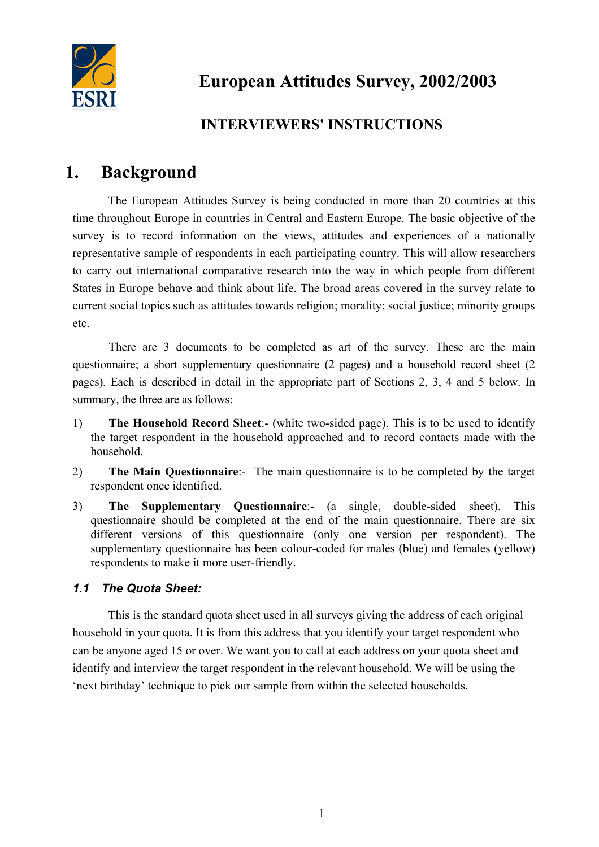

# **INTERVIEWERS' INSTRUCTIONS**

# **1. Background**

The European Attitudes Survey is being conducted in more than 20 countries at this time throughout Europe in countries in Central and Eastern Europe. The basic objective of the survey is to record information on the views, attitudes and experiences of a nationally representative sample of respondents in each participating country. This will allow researchers to carry out international comparative research into the way in which people from different States in Europe behave and think about life. The broad areas covered in the survey relate to current social topics such as attitudes towards religion; morality; social justice; minority groups etc.

 There are 3 documents to be completed as art of the survey. These are the main questionnaire; a short supplementary questionnaire (2 pages) and a household record sheet (2 pages). Each is described in detail in the appropriate part of Sections 2, 3, 4 and 5 below. In summary, the three are as follows:

- 1) **The Household Record Sheet**:- (white two-sided page). This is to be used to identify the target respondent in the household approached and to record contacts made with the household.
- 2) **The Main Questionnaire**:- The main questionnaire is to be completed by the target respondent once identified.
- 3) **The Supplementary Questionnaire**:- (a single, double-sided sheet). This questionnaire should be completed at the end of the main questionnaire. There are six different versions of this questionnaire (only one version per respondent). The supplementary questionnaire has been colour-coded for males (blue) and females (yellow) respondents to make it more user-friendly.

# *1.1 The Quota Sheet:*

This is the standard quota sheet used in all surveys giving the address of each original household in your quota. It is from this address that you identify your target respondent who can be anyone aged 15 or over. We want you to call at each address on your quota sheet and identify and interview the target respondent in the relevant household. We will be using the 'next birthday' technique to pick our sample from within the selected households.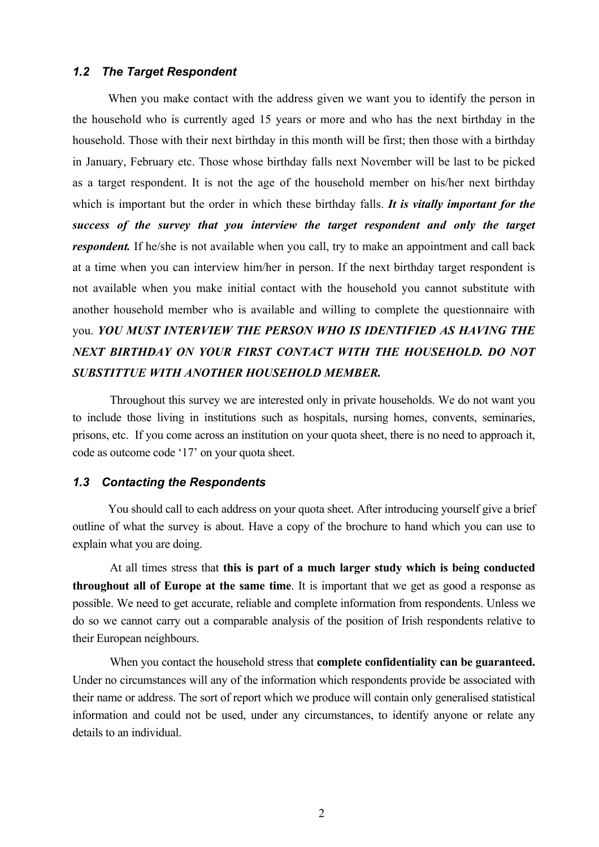#### *1.2 The Target Respondent*

When you make contact with the address given we want you to identify the person in the household who is currently aged 15 years or more and who has the next birthday in the household. Those with their next birthday in this month will be first; then those with a birthday in January, February etc. Those whose birthday falls next November will be last to be picked as a target respondent. It is not the age of the household member on his/her next birthday which is important but the order in which these birthday falls. *It is vitally important for the success of the survey that you interview the target respondent and only the target respondent*. If he/she is not available when you call, try to make an appointment and call back at a time when you can interview him/her in person. If the next birthday target respondent is not available when you make initial contact with the household you cannot substitute with another household member who is available and willing to complete the questionnaire with you. *YOU MUST INTERVIEW THE PERSON WHO IS IDENTIFIED AS HAVING THE NEXT BIRTHDAY ON YOUR FIRST CONTACT WITH THE HOUSEHOLD. DO NOT SUBSTITTUE WITH ANOTHER HOUSEHOLD MEMBER.*

 Throughout this survey we are interested only in private households. We do not want you to include those living in institutions such as hospitals, nursing homes, convents, seminaries, prisons, etc. If you come across an institution on your quota sheet, there is no need to approach it, code as outcome code '17' on your quota sheet.

#### *1.3 Contacting the Respondents*

You should call to each address on your quota sheet. After introducing yourself give a brief outline of what the survey is about. Have a copy of the brochure to hand which you can use to explain what you are doing.

 At all times stress that **this is part of a much larger study which is being conducted throughout all of Europe at the same time**. It is important that we get as good a response as possible. We need to get accurate, reliable and complete information from respondents. Unless we do so we cannot carry out a comparable analysis of the position of Irish respondents relative to their European neighbours.

 When you contact the household stress that **complete confidentiality can be guaranteed.** Under no circumstances will any of the information which respondents provide be associated with their name or address. The sort of report which we produce will contain only generalised statistical information and could not be used, under any circumstances, to identify anyone or relate any details to an individual.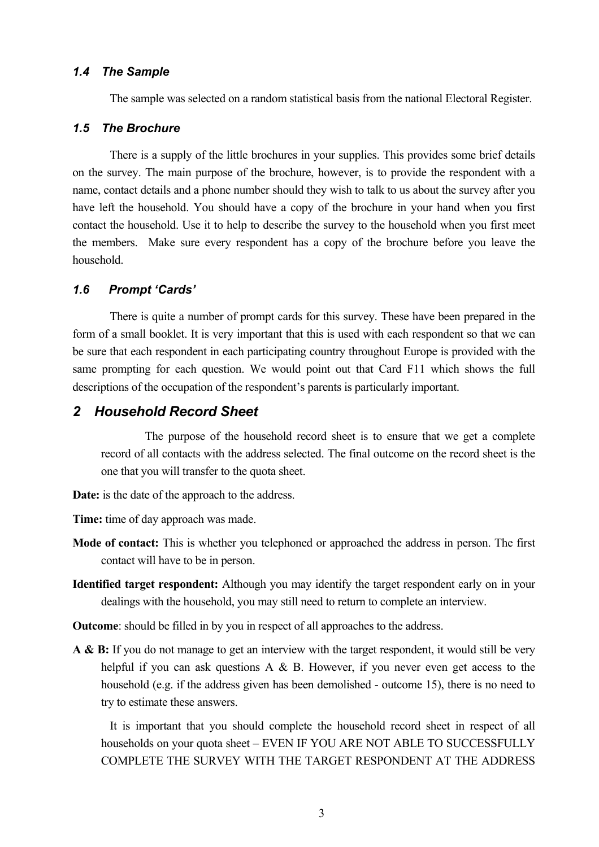#### *1.4 The Sample*

The sample was selected on a random statistical basis from the national Electoral Register.

#### *1.5 The Brochure*

 There is a supply of the little brochures in your supplies. This provides some brief details on the survey. The main purpose of the brochure, however, is to provide the respondent with a name, contact details and a phone number should they wish to talk to us about the survey after you have left the household. You should have a copy of the brochure in your hand when you first contact the household. Use it to help to describe the survey to the household when you first meet the members. Make sure every respondent has a copy of the brochure before you leave the household.

#### *1.6 Prompt 'Cards'*

 There is quite a number of prompt cards for this survey. These have been prepared in the form of a small booklet. It is very important that this is used with each respondent so that we can be sure that each respondent in each participating country throughout Europe is provided with the same prompting for each question. We would point out that Card F11 which shows the full descriptions of the occupation of the respondent's parents is particularly important.

## *2 Household Record Sheet*

 The purpose of the household record sheet is to ensure that we get a complete record of all contacts with the address selected. The final outcome on the record sheet is the one that you will transfer to the quota sheet.

**Date:** is the date of the approach to the address.

**Time:** time of day approach was made.

- **Mode of contact:** This is whether you telephoned or approached the address in person. The first contact will have to be in person.
- **Identified target respondent:** Although you may identify the target respondent early on in your dealings with the household, you may still need to return to complete an interview.

**Outcome**: should be filled in by you in respect of all approaches to the address.

A & B: If you do not manage to get an interview with the target respondent, it would still be very helpful if you can ask questions A & B. However, if you never even get access to the household (e.g. if the address given has been demolished - outcome 15), there is no need to try to estimate these answers.

 It is important that you should complete the household record sheet in respect of all households on your quota sheet – EVEN IF YOU ARE NOT ABLE TO SUCCESSFULLY COMPLETE THE SURVEY WITH THE TARGET RESPONDENT AT THE ADDRESS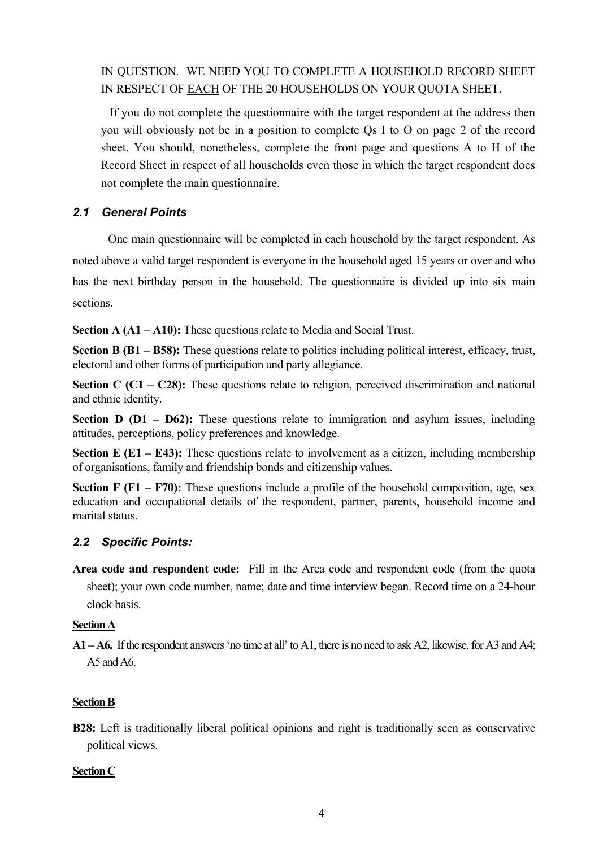IN QUESTION. WE NEED YOU TO COMPLETE A HOUSEHOLD RECORD SHEET IN RESPECT OF EACH OF THE 20 HOUSEHOLDS ON YOUR QUOTA SHEET.

 If you do not complete the questionnaire with the target respondent at the address then you will obviously not be in a position to complete Qs I to O on page 2 of the record sheet. You should, nonetheless, complete the front page and questions A to H of the Record Sheet in respect of all households even those in which the target respondent does not complete the main questionnaire.

## *2.1 General Points*

One main questionnaire will be completed in each household by the target respondent. As noted above a valid target respondent is everyone in the household aged 15 years or over and who has the next birthday person in the household. The questionnaire is divided up into six main sections.

**Section A (A1 – A10):** These questions relate to Media and Social Trust.

**Section B (B1 – B58):** These questions relate to politics including political interest, efficacy, trust, electoral and other forms of participation and party allegiance.

**Section C (C1 – C28):** These questions relate to religion, perceived discrimination and national and ethnic identity.

**Section D (D1 – D62):** These questions relate to immigration and asylum issues, including attitudes, perceptions, policy preferences and knowledge.

**Section E (E1 – E43):** These questions relate to involvement as a citizen, including membership of organisations, family and friendship bonds and citizenship values.

**Section F (F1 – F70):** These questions include a profile of the household composition, age, sex education and occupational details of the respondent, partner, parents, household income and marital status.

#### *2.2 Specific Points:*

**Area code and respondent code:** Fill in the Area code and respondent code (from the quota sheet); your own code number, name; date and time interview began. Record time on a 24-hour clock basis.

#### **Section A**

**A1 – A6.** If the respondent answers 'no time at all' to A1, there is no need to ask A2, likewise, for A3 and A4; A5 and A6.

#### **Section B**

**B28:** Left is traditionally liberal political opinions and right is traditionally seen as conservative political views.

#### **Section C**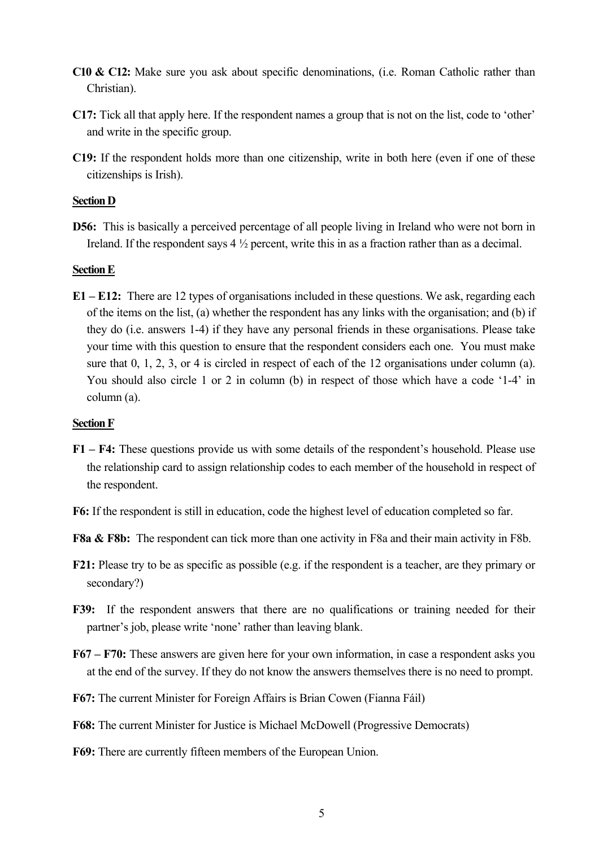- **C10 & C12:** Make sure you ask about specific denominations, (i.e. Roman Catholic rather than Christian).
- **C17:** Tick all that apply here. If the respondent names a group that is not on the list, code to 'other' and write in the specific group.
- **C19:** If the respondent holds more than one citizenship, write in both here (even if one of these citizenships is Irish).

#### **Section D**

**D56:** This is basically a perceived percentage of all people living in Ireland who were not born in Ireland. If the respondent says 4 ½ percent, write this in as a fraction rather than as a decimal.

#### **Section E**

**E1 – E12:** There are 12 types of organisations included in these questions. We ask, regarding each of the items on the list, (a) whether the respondent has any links with the organisation; and (b) if they do (i.e. answers 1-4) if they have any personal friends in these organisations. Please take your time with this question to ensure that the respondent considers each one. You must make sure that 0, 1, 2, 3, or 4 is circled in respect of each of the 12 organisations under column (a). You should also circle 1 or 2 in column (b) in respect of those which have a code '1-4' in column (a).

#### **Section F**

- **F1 F4:** These questions provide us with some details of the respondent's household. Please use the relationship card to assign relationship codes to each member of the household in respect of the respondent.
- **F6:** If the respondent is still in education, code the highest level of education completed so far.
- **F8a & F8b:** The respondent can tick more than one activity in F8a and their main activity in F8b.
- **F21:** Please try to be as specific as possible (e.g. if the respondent is a teacher, are they primary or secondary?)
- **F39:** If the respondent answers that there are no qualifications or training needed for their partner's job, please write 'none' rather than leaving blank.
- **F67 F70:** These answers are given here for your own information, in case a respondent asks you at the end of the survey. If they do not know the answers themselves there is no need to prompt.
- **F67:** The current Minister for Foreign Affairs is Brian Cowen (Fianna Fáil)
- **F68:** The current Minister for Justice is Michael McDowell (Progressive Democrats)
- **F69:** There are currently fifteen members of the European Union.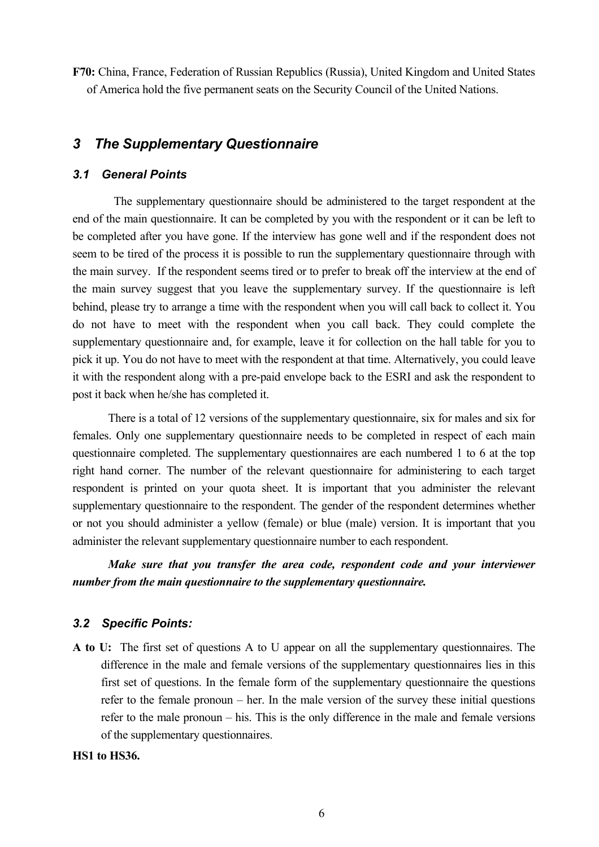**F70:** China, France, Federation of Russian Republics (Russia), United Kingdom and United States of America hold the five permanent seats on the Security Council of the United Nations.

# *3 The Supplementary Questionnaire*

#### *3.1 General Points*

 The supplementary questionnaire should be administered to the target respondent at the end of the main questionnaire. It can be completed by you with the respondent or it can be left to be completed after you have gone. If the interview has gone well and if the respondent does not seem to be tired of the process it is possible to run the supplementary questionnaire through with the main survey. If the respondent seems tired or to prefer to break off the interview at the end of the main survey suggest that you leave the supplementary survey. If the questionnaire is left behind, please try to arrange a time with the respondent when you will call back to collect it. You do not have to meet with the respondent when you call back. They could complete the supplementary questionnaire and, for example, leave it for collection on the hall table for you to pick it up. You do not have to meet with the respondent at that time. Alternatively, you could leave it with the respondent along with a pre-paid envelope back to the ESRI and ask the respondent to post it back when he/she has completed it.

There is a total of 12 versions of the supplementary questionnaire, six for males and six for females. Only one supplementary questionnaire needs to be completed in respect of each main questionnaire completed. The supplementary questionnaires are each numbered 1 to 6 at the top right hand corner. The number of the relevant questionnaire for administering to each target respondent is printed on your quota sheet. It is important that you administer the relevant supplementary questionnaire to the respondent. The gender of the respondent determines whether or not you should administer a yellow (female) or blue (male) version. It is important that you administer the relevant supplementary questionnaire number to each respondent.

*Make sure that you transfer the area code, respondent code and your interviewer number from the main questionnaire to the supplementary questionnaire.*

## *3.2 Specific Points:*

**A to U:** The first set of questions A to U appear on all the supplementary questionnaires. The difference in the male and female versions of the supplementary questionnaires lies in this first set of questions. In the female form of the supplementary questionnaire the questions refer to the female pronoun – her. In the male version of the survey these initial questions refer to the male pronoun – his. This is the only difference in the male and female versions of the supplementary questionnaires.

#### **HS1 to HS36.**